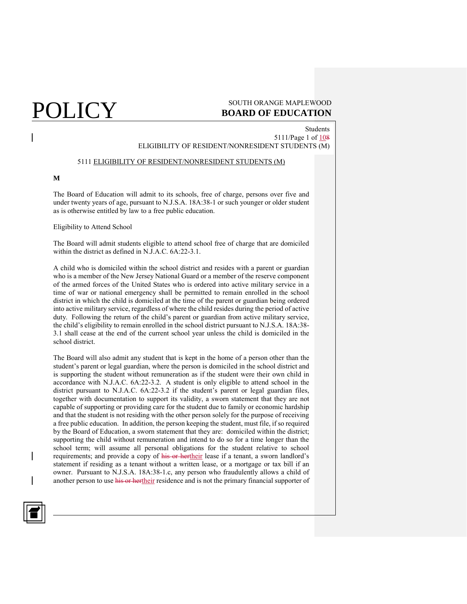## $\rm \overline{POLICY}$  south orange maple wood **BOARD OF EDUCATION**

Students 5111/Page 1 of 108 ELIGIBILITY OF RESIDENT/NONRESIDENT STUDENTS (M)

### 5111 ELIGIBILITY OF RESIDENT/NONRESIDENT STUDENTS (M)

## **M**

The Board of Education will admit to its schools, free of charge, persons over five and under twenty years of age, pursuant to N.J.S.A. 18A:38-1 or such younger or older student as is otherwise entitled by law to a free public education.

### Eligibility to Attend School

The Board will admit students eligible to attend school free of charge that are domiciled within the district as defined in N.J.A.C. 6A:22-3.1.

A child who is domiciled within the school district and resides with a parent or guardian who is a member of the New Jersey National Guard or a member of the reserve component of the armed forces of the United States who is ordered into active military service in a time of war or national emergency shall be permitted to remain enrolled in the school district in which the child is domiciled at the time of the parent or guardian being ordered into active military service, regardless of where the child resides during the period of active duty. Following the return of the child's parent or guardian from active military service, the child's eligibility to remain enrolled in the school district pursuant to N.J.S.A. 18A:38- 3.1 shall cease at the end of the current school year unless the child is domiciled in the school district.

The Board will also admit any student that is kept in the home of a person other than the student's parent or legal guardian, where the person is domiciled in the school district and is supporting the student without remuneration as if the student were their own child in accordance with N.J.A.C. 6A:22-3.2. A student is only eligible to attend school in the district pursuant to N.J.A.C. 6A:22-3.2 if the student's parent or legal guardian files, together with documentation to support its validity, a sworn statement that they are not capable of supporting or providing care for the student due to family or economic hardship and that the student is not residing with the other person solely for the purpose of receiving a free public education. In addition, the person keeping the student, must file, if so required by the Board of Education, a sworn statement that they are: domiciled within the district; supporting the child without remuneration and intend to do so for a time longer than the school term; will assume all personal obligations for the student relative to school requirements; and provide a copy of his or hertheir lease if a tenant, a sworn landlord's statement if residing as a tenant without a written lease, or a mortgage or tax bill if an owner. Pursuant to N.J.S.A. 18A:38-1.c, any person who fraudulently allows a child of another person to use his or hertheir residence and is not the primary financial supporter of

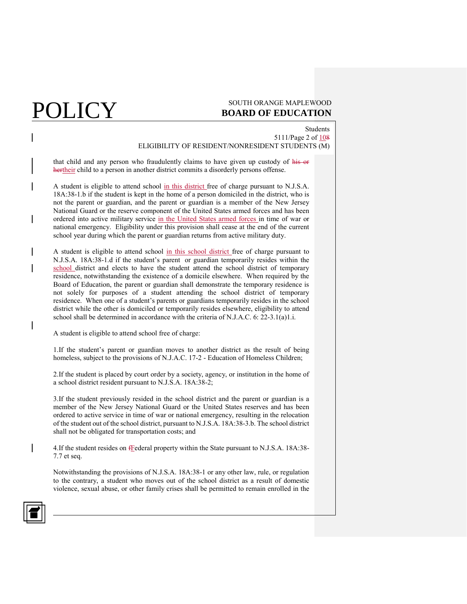## $\mathop{\rm POLICY}\limits_{\substack{\text{SOUTH OR ANGE MAPLEWOOD}\ {\text{BOARD OF EDUCATION}}}}$ **BOARD OF EDUCATION**

Students 5111/Page 2 of 108 ELIGIBILITY OF RESIDENT/NONRESIDENT STUDENTS (M)

that child and any person who fraudulently claims to have given up custody of his or hertheir child to a person in another district commits a disorderly persons offense.

A student is eligible to attend school in this district free of charge pursuant to N.J.S.A. 18A:38-1.b if the student is kept in the home of a person domiciled in the district, who is not the parent or guardian, and the parent or guardian is a member of the New Jersey National Guard or the reserve component of the United States armed forces and has been ordered into active military service in the United States armed forces in time of war or national emergency. Eligibility under this provision shall cease at the end of the current school year during which the parent or guardian returns from active military duty.

A student is eligible to attend school in this school district free of charge pursuant to N.J.S.A. 18A:38-1.d if the student's parent or guardian temporarily resides within the school district and elects to have the student attend the school district of temporary residence, notwithstanding the existence of a domicile elsewhere. When required by the Board of Education, the parent or guardian shall demonstrate the temporary residence is not solely for purposes of a student attending the school district of temporary residence. When one of a student's parents or guardians temporarily resides in the school district while the other is domiciled or temporarily resides elsewhere, eligibility to attend school shall be determined in accordance with the criteria of N.J.A.C. 6: 22-3.1(a)1.i.

A student is eligible to attend school free of charge:

1.If the student's parent or guardian moves to another district as the result of being homeless, subject to the provisions of N.J.A.C. 17-2 - Education of Homeless Children;

2.If the student is placed by court order by a society, agency, or institution in the home of a school district resident pursuant to N.J.S.A. 18A:38-2;

3.If the student previously resided in the school district and the parent or guardian is a member of the New Jersey National Guard or the United States reserves and has been ordered to active service in time of war or national emergency, resulting in the relocation of the student out of the school district, pursuant to N.J.S.A. 18A:38-3.b. The school district shall not be obligated for transportation costs; and

4.If the student resides on **fFederal property within the State pursuant to N.J.S.A. 18A:38-**7.7 et seq.

Notwithstanding the provisions of N.J.S.A. 18A:38-1 or any other law, rule, or regulation to the contrary, a student who moves out of the school district as a result of domestic violence, sexual abuse, or other family crises shall be permitted to remain enrolled in the

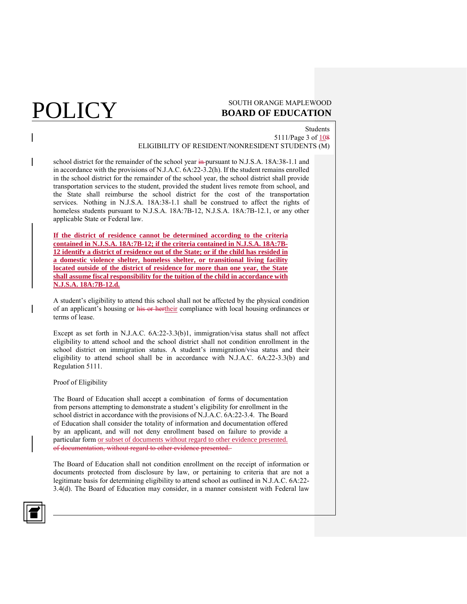## Students 5111/Page 3 of 108 ELIGIBILITY OF RESIDENT/NONRESIDENT STUDENTS (M)

school district for the remainder of the school year in pursuant to N.J.S.A. 18A:38-1.1 and in accordance with the provisions of N.J.A.C. 6A:22-3.2(h). If the student remains enrolled in the school district for the remainder of the school year, the school district shall provide transportation services to the student, provided the student lives remote from school, and the State shall reimburse the school district for the cost of the transportation services. Nothing in N.J.S.A. 18A:38-1.1 shall be construed to affect the rights of homeless students pursuant to N.J.S.A. 18A:7B-12, N.J.S.A. 18A:7B-12.1, or any other applicable State or Federal law.

**If the district of residence cannot be determined according to the criteria contained in N.J.S.A. 18A:7B-12; if the criteria contained in N.J.S.A. 18A:7B-12 identify a district of residence out of the State; or if the child has resided in a domestic violence shelter, homeless shelter, or transitional living facility located outside of the district of residence for more than one year, the State shall assume fiscal responsibility for the tuition of the child in accordance with N.J.S.A. 18A:7B-12.d.**

A student's eligibility to attend this school shall not be affected by the physical condition of an applicant's housing or his or hertheir compliance with local housing ordinances or terms of lease.

Except as set forth in N.J.A.C. 6A:22-3.3(b)1, immigration/visa status shall not affect eligibility to attend school and the school district shall not condition enrollment in the school district on immigration status. A student's immigration/visa status and their eligibility to attend school shall be in accordance with N.J.A.C. 6A:22-3.3(b) and Regulation 5111.

### Proof of Eligibility

The Board of Education shall accept a combination of forms of documentation from persons attempting to demonstrate a student's eligibility for enrollment in the school district in accordance with the provisions of N.J.A.C. 6A:22-3.4. The Board of Education shall consider the totality of information and documentation offered by an applicant, and will not deny enrollment based on failure to provide a particular form or subset of documents without regard to other evidence presented. of documentation, without regard to other evidence presented.

The Board of Education shall not condition enrollment on the receipt of information or documents protected from disclosure by law, or pertaining to criteria that are not a legitimate basis for determining eligibility to attend school as outlined in N.J.A.C. 6A:22- 3.4(d). The Board of Education may consider, in a manner consistent with Federal law

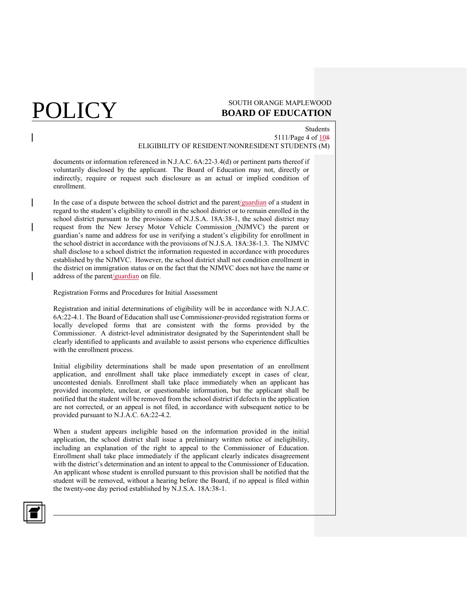## $\mathop{\rm POLICY}\limits_{\substack{\text{SOUTH OR ANGE MAPLEWOOD}\ {\text{BOARD OF EDUCATION}}}}$ **BOARD OF EDUCATION**

## Students 5111/Page 4 of 108 ELIGIBILITY OF RESIDENT/NONRESIDENT STUDENTS (M)

documents or information referenced in N.J.A.C. 6A:22-3.4(d) or pertinent parts thereof if voluntarily disclosed by the applicant. The Board of Education may not, directly or indirectly, require or request such disclosure as an actual or implied condition of enrollment.

In the case of a dispute between the school district and the parent/guardian of a student in regard to the student's eligibility to enroll in the school district or to remain enrolled in the school district pursuant to the provisions of N.J.S.A. 18A:38-1, the school district may request from the New Jersey Motor Vehicle Commission (NJMVC) the parent or guardian's name and address for use in verifying a student's eligibility for enrollment in the school district in accordance with the provisions of N.J.S.A. 18A:38-1.3. The NJMVC shall disclose to a school district the information requested in accordance with procedures established by the NJMVC. However, the school district shall not condition enrollment in the district on immigration status or on the fact that the NJMVC does not have the name or address of the parent/guardian on file.

Registration Forms and Procedures for Initial Assessment

Registration and initial determinations of eligibility will be in accordance with N.J.A.C. 6A:22-4.1. The Board of Education shall use Commissioner-provided registration forms or locally developed forms that are consistent with the forms provided by the Commissioner. A district-level administrator designated by the Superintendent shall be clearly identified to applicants and available to assist persons who experience difficulties with the enrollment process.

Initial eligibility determinations shall be made upon presentation of an enrollment application, and enrollment shall take place immediately except in cases of clear, uncontested denials. Enrollment shall take place immediately when an applicant has provided incomplete, unclear, or questionable information, but the applicant shall be notified that the student will be removed from the school district if defects in the application are not corrected, or an appeal is not filed, in accordance with subsequent notice to be provided pursuant to N.J.A.C. 6A:22-4.2.

When a student appears ineligible based on the information provided in the initial application, the school district shall issue a preliminary written notice of ineligibility, including an explanation of the right to appeal to the Commissioner of Education. Enrollment shall take place immediately if the applicant clearly indicates disagreement with the district's determination and an intent to appeal to the Commissioner of Education. An applicant whose student is enrolled pursuant to this provision shall be notified that the student will be removed, without a hearing before the Board, if no appeal is filed within the twenty-one day period established by N.J.S.A. 18A:38-1.

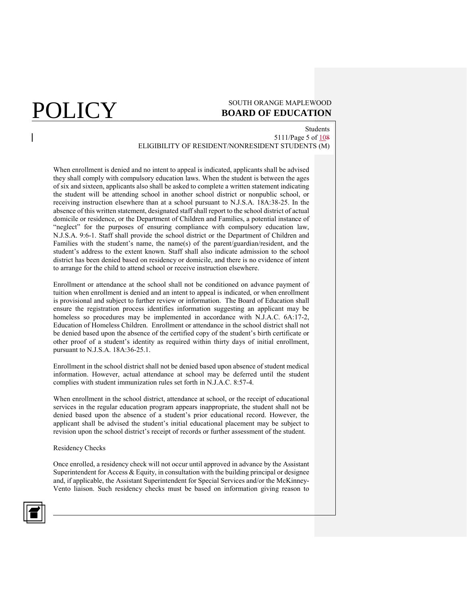Students 5111/Page 5 of 108 ELIGIBILITY OF RESIDENT/NONRESIDENT STUDENTS (M)

When enrollment is denied and no intent to appeal is indicated, applicants shall be advised they shall comply with compulsory education laws. When the student is between the ages of six and sixteen, applicants also shall be asked to complete a written statement indicating the student will be attending school in another school district or nonpublic school, or receiving instruction elsewhere than at a school pursuant to N.J.S.A. 18A:38-25. In the absence of this written statement, designated staff shall report to the school district of actual domicile or residence, or the Department of Children and Families, a potential instance of "neglect" for the purposes of ensuring compliance with compulsory education law, N.J.S.A. 9:6-1. Staff shall provide the school district or the Department of Children and Families with the student's name, the name(s) of the parent/guardian/resident, and the student's address to the extent known. Staff shall also indicate admission to the school district has been denied based on residency or domicile, and there is no evidence of intent to arrange for the child to attend school or receive instruction elsewhere.

Enrollment or attendance at the school shall not be conditioned on advance payment of tuition when enrollment is denied and an intent to appeal is indicated, or when enrollment is provisional and subject to further review or information. The Board of Education shall ensure the registration process identifies information suggesting an applicant may be homeless so procedures may be implemented in accordance with N.J.A.C. 6A:17-2, Education of Homeless Children. Enrollment or attendance in the school district shall not be denied based upon the absence of the certified copy of the student's birth certificate or other proof of a student's identity as required within thirty days of initial enrollment, pursuant to N.J.S.A. 18A:36-25.1.

Enrollment in the school district shall not be denied based upon absence of student medical information. However, actual attendance at school may be deferred until the student complies with student immunization rules set forth in N.J.A.C. 8:57-4.

When enrollment in the school district, attendance at school, or the receipt of educational services in the regular education program appears inappropriate, the student shall not be denied based upon the absence of a student's prior educational record. However, the applicant shall be advised the student's initial educational placement may be subject to revision upon the school district's receipt of records or further assessment of the student.

Residency Checks

Once enrolled, a residency check will not occur until approved in advance by the Assistant Superintendent for Access & Equity, in consultation with the building principal or designee and, if applicable, the Assistant Superintendent for Special Services and/or the McKinney-Vento liaison. Such residency checks must be based on information giving reason to

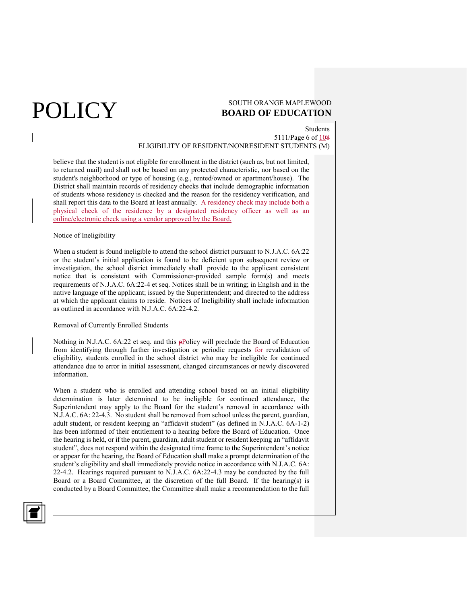## Students 5111/Page 6 of 108 ELIGIBILITY OF RESIDENT/NONRESIDENT STUDENTS (M)

believe that the student is not eligible for enrollment in the district (such as, but not limited, to returned mail) and shall not be based on any protected characteristic, nor based on the student's neighborhood or type of housing (e.g., rented/owned or apartment/house). The District shall maintain records of residency checks that include demographic information of students whose residency is checked and the reason for the residency verification, and shall report this data to the Board at least annually. A residency check may include both a physical check of the residence by a designated residency officer as well as an online/electronic check using a vendor approved by the Board.

### Notice of Ineligibility

When a student is found ineligible to attend the school district pursuant to N.J.A.C. 6A:22 or the student's initial application is found to be deficient upon subsequent review or investigation, the school district immediately shall provide to the applicant consistent notice that is consistent with Commissioner-provided sample form(s) and meets requirements of N.J.A.C. 6A:22-4 et seq. Notices shall be in writing; in English and in the native language of the applicant; issued by the Superintendent; and directed to the address at which the applicant claims to reside. Notices of Ineligibility shall include information as outlined in accordance with N.J.A.C. 6A:22-4.2.

### Removal of Currently Enrolled Students

Nothing in N.J.A.C.  $6A:22$  et seq. and this  $p\text{Policy}$  will preclude the Board of Education from identifying through further investigation or periodic requests for revalidation of eligibility, students enrolled in the school district who may be ineligible for continued attendance due to error in initial assessment, changed circumstances or newly discovered information.

When a student who is enrolled and attending school based on an initial eligibility determination is later determined to be ineligible for continued attendance, the Superintendent may apply to the Board for the student's removal in accordance with N.J.A.C. 6A: 22-4.3. No student shall be removed from school unless the parent, guardian, adult student, or resident keeping an "affidavit student" (as defined in N.J.A.C. 6A-1-2) has been informed of their entitlement to a hearing before the Board of Education. Once the hearing is held, or if the parent, guardian, adult student or resident keeping an "affidavit student", does not respond within the designated time frame to the Superintendent's notice or appear for the hearing, the Board of Education shall make a prompt determination of the student's eligibility and shall immediately provide notice in accordance with N.J.A.C. 6A: 22-4.2. Hearings required pursuant to N.J.A.C. 6A:22-4.3 may be conducted by the full Board or a Board Committee, at the discretion of the full Board. If the hearing(s) is conducted by a Board Committee, the Committee shall make a recommendation to the full

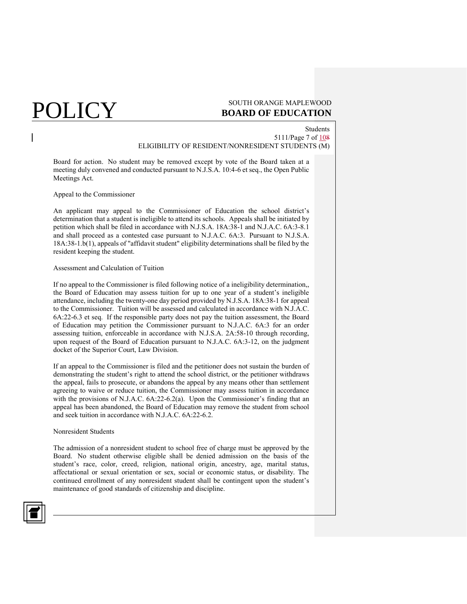Students 5111/Page 7 of 108 ELIGIBILITY OF RESIDENT/NONRESIDENT STUDENTS (M)

Board for action. No student may be removed except by vote of the Board taken at a meeting duly convened and conducted pursuant to N.J.S.A. 10:4-6 et seq., the Open Public Meetings Act.

### Appeal to the Commissioner

An applicant may appeal to the Commissioner of Education the school district's determination that a student is ineligible to attend its schools. Appeals shall be initiated by petition which shall be filed in accordance with N.J.S.A. 18A:38-1 and N.J.A.C. 6A:3-8.1 and shall proceed as a contested case pursuant to N.J.A.C. 6A:3. Pursuant to N.J.S.A. 18A:38-1.b(1), appeals of "affidavit student" eligibility determinations shall be filed by the resident keeping the student.

### Assessment and Calculation of Tuition

If no appeal to the Commissioner is filed following notice of a ineligibility determination,, the Board of Education may assess tuition for up to one year of a student's ineligible attendance, including the twenty-one day period provided by N.J.S.A. 18A:38-1 for appeal to the Commissioner. Tuition will be assessed and calculated in accordance with N.J.A.C. 6A:22-6.3 et seq. If the responsible party does not pay the tuition assessment, the Board of Education may petition the Commissioner pursuant to N.J.A.C. 6A:3 for an order assessing tuition, enforceable in accordance with N.J.S.A. 2A:58-10 through recording, upon request of the Board of Education pursuant to N.J.A.C. 6A:3-12, on the judgment docket of the Superior Court, Law Division.

If an appeal to the Commissioner is filed and the petitioner does not sustain the burden of demonstrating the student's right to attend the school district, or the petitioner withdraws the appeal, fails to prosecute, or abandons the appeal by any means other than settlement agreeing to waive or reduce tuition, the Commissioner may assess tuition in accordance with the provisions of N.J.A.C. 6A:22-6.2(a). Upon the Commissioner's finding that an appeal has been abandoned, the Board of Education may remove the student from school and seek tuition in accordance with N.J.A.C. 6A:22-6.2.

## Nonresident Students

The admission of a nonresident student to school free of charge must be approved by the Board. No student otherwise eligible shall be denied admission on the basis of the student's race, color, creed, religion, national origin, ancestry, age, marital status, affectational or sexual orientation or sex, social or economic status, or disability. The continued enrollment of any nonresident student shall be contingent upon the student's maintenance of good standards of citizenship and discipline.

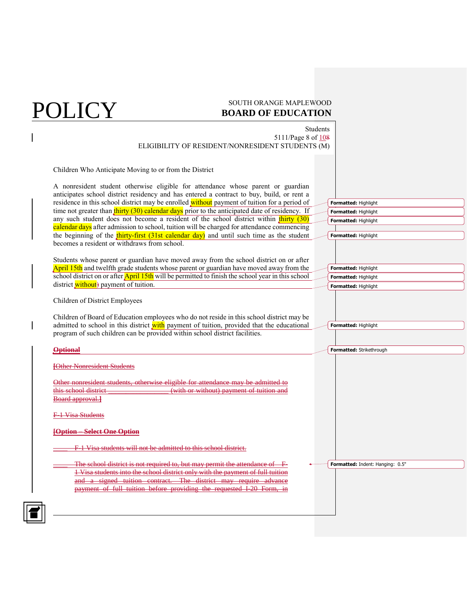## $\rm \overline{POLICY}$  south orange maple wood **BOARD OF EDUCATION**

**Formatted:** Highlight **Formatted:** Highlight **Formatted:** Highlight **Formatted:** Highlight

**Formatted:** Highlight **Formatted:** Highlight **Formatted:** Highlight

**Formatted:** Highlight

Students 5111/Page 8 of 108 ELIGIBILITY OF RESIDENT/NONRESIDENT STUDENTS (M)

Children Who Anticipate Moving to or from the District

A nonresident student otherwise eligible for attendance whose parent or guardian anticipates school district residency and has entered a contract to buy, build, or rent a residence in this school district may be enrolled without payment of tuition for a period of time not greater than thirty (30) calendar days prior to the anticipated date of residency. If any such student does not become a resident of the school district within thirty (30) calendar days after admission to school, tuition will be charged for attendance commencing the beginning of the  $\frac{\text{thirty-first}}{\text{dist}}$  (31st calendar day) and until such time as the student becomes a resident or withdraws from school.

Students whose parent or guardian have moved away from the school district on or after April 15th and twelfth grade students whose parent or guardian have moved away from the school district on or after April 15th will be permitted to finish the school year in this school district without) payment of tuition.

Children of District Employees

Children of Board of Education employees who do not reside in this school district may be admitted to school in this district with payment of tuition, provided that the educational program of such children can be provided within school district facilities.

| <del>Optional</del>                                                                                                                                                 | Formatted: Strikethrough                |
|---------------------------------------------------------------------------------------------------------------------------------------------------------------------|-----------------------------------------|
|                                                                                                                                                                     |                                         |
| <b>[Other Nonresident Students</b>                                                                                                                                  |                                         |
| Other nonresident students, otherwise eligible for attendance may be admitted to                                                                                    |                                         |
| this school district-<br>(with or without) payment of tuition and<br>Board approval.                                                                                |                                         |
|                                                                                                                                                                     |                                         |
| 1 Visa Students                                                                                                                                                     |                                         |
| <b>[Option Select One Option</b>                                                                                                                                    |                                         |
| F 1 Visa students will not be admitted to this school district.                                                                                                     |                                         |
| The school district is not required to, but may permit the attendance of<br>₽                                                                                       | <b>Formatted:</b> Indent: Hanging: 0.5" |
| 1 Visa students into the school district only with the payment of full tuition<br>and a signed tuition contract.<br>Tha<br>لممم<br>The district may require advance |                                         |
| payment of full tuition before providing the requested I-20 Form, in                                                                                                |                                         |
|                                                                                                                                                                     |                                         |
|                                                                                                                                                                     |                                         |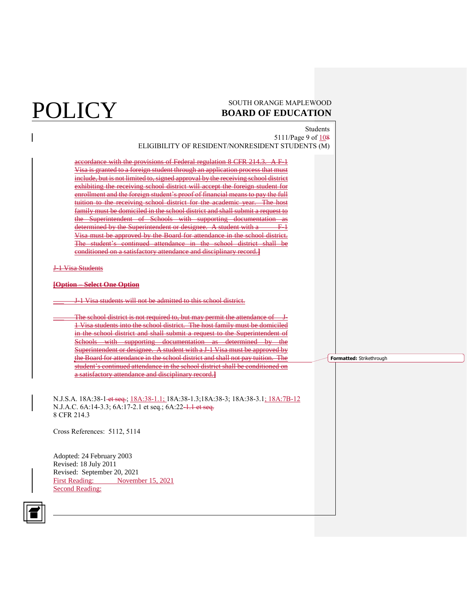## **POLICY** SOUTH ORANGE MAPLEWOOD **BOARD OF EDUCATION**

Students 5111/Page 9 of 108 ELIGIBILITY OF RESIDENT/NONRESIDENT STUDENTS (M) accordance with the provisions of Federal regulation 8 CFR 214.3. A F-1 Visa is granted to a foreign student through an application process that must include, but is not limited to, signed approval by the receiving school district exhibiting the receiving school district will accept the foreign student for enrollment and the foreign student's proof of financial means to pay the full tuition to the receiving school district for the academic year. The host family must be domiciled in the school district and shall submit a request to the Superintendent of Schools with supporting documentation as determined by the Superintendent or designee. A student with a F-1 Visa must be approved by the Board for attendance in the school district. The student's continued attendance in the school district shall be conditioned on a satisfactory attendance and disciplinary record.**]** J-1 Visa Students **[Option – Select One Option** \_\_\_ J-1 Visa students will not be admitted to this school district. The school district is not required to, but may permit the attendance of 1 Visa students into the school district. The host family must be domiciled in the school district and shall submit a request to the Superintendent of Schools with supporting documentation as determined by the Superintendent or designee. A student with a J-1 Visa must be approved by the Board for attendance in the school district and shall not pay tuition. The student's continued attendance in the school district shall be conditioned on a satisfactory attendance and disciplinary record.**]** N.J.S.A. 18A:38-1 et seq.; 18A:38-1.1; 18A:38-1.3;18A:38-3; 18A:38-3.1; 18A:7B-12 N.J.A.C. 6A:14-3.3; 6A:17-2.1 et seq.; 6A:22-1.1 et seq. 8 CFR 214.3 Cross References: 5112, 5114 Adopted: 24 February 2003 Revised: 18 July 2011 Revised: September 20, 2021 First Reading: November 15, 2021 Second Reading: **Formatted:** Strikethrough